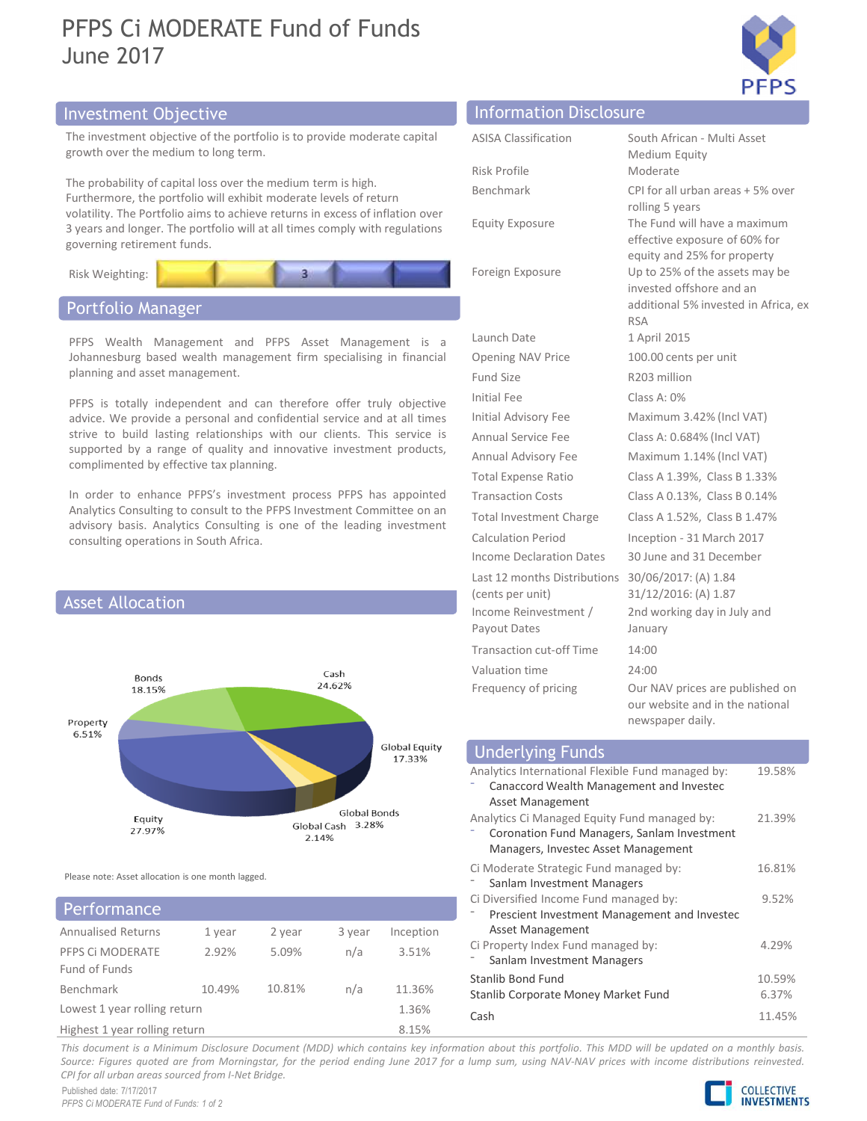# PFPS Ci MODERATE Fund of Funds June 2017



# Investment Objective Information Disclosure Information Disclosure



# Portfolio Manager



# PFPS Ci MODERATE 2.92% Fund of Funds Lowest 1 year rolling return 1.36% **Performance**

| PFPS Ci MODERATE Fund of Funds<br>lune 2017                                                                                                                                                 |                                                           | <b>PFPS</b>                                                                                                     |
|---------------------------------------------------------------------------------------------------------------------------------------------------------------------------------------------|-----------------------------------------------------------|-----------------------------------------------------------------------------------------------------------------|
| nvestment Objective                                                                                                                                                                         | <b>Information Disclosure</b>                             |                                                                                                                 |
| The investment objective of the portfolio is to provide moderate capital<br>growth over the medium to long term.                                                                            | <b>ASISA Classification</b><br>Risk Profile               | South African - Multi Asset<br>Medium Equity<br>Moderate                                                        |
| The probability of capital loss over the medium term is high.<br>Furthermore, the portfolio will exhibit moderate levels of return                                                          | Benchmark                                                 | CPI for all urban areas + 5% over                                                                               |
| volatility. The Portfolio aims to achieve returns in excess of inflation over<br>3 years and longer. The portfolio will at all times comply with regulations<br>governing retirement funds. | <b>Equity Exposure</b>                                    | rolling 5 years<br>The Fund will have a maximum<br>effective exposure of 60% for<br>equity and 25% for property |
| Risk Weighting:                                                                                                                                                                             | Foreign Exposure                                          | Up to 25% of the assets may be<br>invested offshore and an                                                      |
| Portfolio Manager                                                                                                                                                                           |                                                           | additional 5% invested in Africa, ex<br><b>RSA</b>                                                              |
| PFPS Wealth Management and PFPS Asset Management is a<br>Johannesburg based wealth management firm specialising in financial<br>planning and asset management.                              | Launch Date                                               | 1 April 2015                                                                                                    |
|                                                                                                                                                                                             | Opening NAV Price<br>Fund Size                            | 100.00 cents per unit<br>R203 million                                                                           |
| PFPS is totally independent and can therefore offer truly objective                                                                                                                         | Initial Fee                                               | Class A: 0%                                                                                                     |
| advice. We provide a personal and confidential service and at all times                                                                                                                     | Initial Advisory Fee                                      | Maximum 3.42% (Incl VAT)                                                                                        |
| strive to build lasting relationships with our clients. This service is                                                                                                                     | Annual Service Fee                                        | Class A: 0.684% (Incl VAT)                                                                                      |
| supported by a range of quality and innovative investment products,<br>complimented by effective tax planning.                                                                              | Annual Advisory Fee                                       | Maximum 1.14% (Incl VAT)                                                                                        |
|                                                                                                                                                                                             | <b>Total Expense Ratio</b>                                | Class A 1.39%, Class B 1.33%                                                                                    |
| In order to enhance PFPS's investment process PFPS has appointed<br>Analytics Consulting to consult to the PFPS Investment Committee on an                                                  | <b>Transaction Costs</b>                                  | Class A 0.13%, Class B 0.14%                                                                                    |
| advisory basis. Analytics Consulting is one of the leading investment                                                                                                                       | <b>Total Investment Charge</b>                            | Class A 1.52%, Class B 1.47%                                                                                    |
| consulting operations in South Africa.                                                                                                                                                      | <b>Calculation Period</b>                                 | Inception - 31 March 2017                                                                                       |
|                                                                                                                                                                                             | Income Declaration Dates                                  | 30 June and 31 December                                                                                         |
|                                                                                                                                                                                             | Last 12 months Distributions                              | 30/06/2017: (A) 1.84                                                                                            |
| <b>Asset Allocation</b>                                                                                                                                                                     | (cents per unit)<br>Income Reinvestment /<br>Payout Dates | 31/12/2016: (A) 1.87<br>2nd working day in July and<br>January                                                  |
|                                                                                                                                                                                             | <b>Transaction cut-off Time</b>                           | 14:00                                                                                                           |
| Cash                                                                                                                                                                                        | Valuation time                                            | 24:00                                                                                                           |
| Bonds<br>24.62%<br>18.15%<br>Property                                                                                                                                                       | Frequency of pricing                                      | Our NAV prices are published on<br>our website and in the national<br>newspaper daily.                          |
| 6.51%<br>Global Equity                                                                                                                                                                      |                                                           |                                                                                                                 |
| 17.33%                                                                                                                                                                                      | <b>Underlying Funds</b>                                   |                                                                                                                 |

| duvisory basis. Analytics Consulting is one or the leading investment<br><b>Calculation Period</b><br>Inception - 31 March 2017<br>consulting operations in South Africa.<br>Income Declaration Dates<br>30 June and 31 December<br>Last 12 months Distributions 30/06/2017: (A) 1.84<br>31/12/2016: (A) 1.87<br>(cents per unit)<br><b>Asset Allocation</b><br>Income Reinvestment /<br>2nd working day in July and<br>Payout Dates<br>January<br><b>Transaction cut-off Time</b><br>14:00 |                 |
|---------------------------------------------------------------------------------------------------------------------------------------------------------------------------------------------------------------------------------------------------------------------------------------------------------------------------------------------------------------------------------------------------------------------------------------------------------------------------------------------|-----------------|
|                                                                                                                                                                                                                                                                                                                                                                                                                                                                                             |                 |
|                                                                                                                                                                                                                                                                                                                                                                                                                                                                                             |                 |
|                                                                                                                                                                                                                                                                                                                                                                                                                                                                                             |                 |
|                                                                                                                                                                                                                                                                                                                                                                                                                                                                                             |                 |
| Valuation time<br>24:00<br>Cash<br>Bonds<br>24.62%<br>Our NAV prices are published on<br>Frequency of pricing<br>18.15%<br>our website and in the national<br>newspaper daily.<br>Property<br>6.51%                                                                                                                                                                                                                                                                                         |                 |
| Global Equity<br><b>Underlying Funds</b>                                                                                                                                                                                                                                                                                                                                                                                                                                                    |                 |
| 17.33%<br>Analytics International Flexible Fund managed by:<br>Canaccord Wealth Management and Investec<br>Asset Management                                                                                                                                                                                                                                                                                                                                                                 | 19.58%          |
| Global Bonds<br>Analytics Ci Managed Equity Fund managed by:<br>Equity<br>Global Cash 3.28%<br>27.97%<br>Coronation Fund Managers, Sanlam Investment<br>2.14%<br>Managers, Investec Asset Management                                                                                                                                                                                                                                                                                        | 21.39%          |
| Ci Moderate Strategic Fund managed by:<br>Please note: Asset allocation is one month lagged.<br>Sanlam Investment Managers                                                                                                                                                                                                                                                                                                                                                                  | 16.81%          |
| Ci Diversified Income Fund managed by:<br>Performance<br>Prescient Investment Management and Investec                                                                                                                                                                                                                                                                                                                                                                                       | 9.52%           |
| Asset Management<br><b>Annualised Returns</b><br>1 year<br>2 year<br>3 year<br>Inception<br>Ci Property Index Fund managed by:<br>PFPS Ci MODERATE<br>2.92%<br>5.09%<br>n/a<br>3.51%<br>Sanlam Investment Managers                                                                                                                                                                                                                                                                          | 4.29%           |
| Fund of Funds<br><b>Stanlib Bond Fund</b><br>10.49%<br>10.81%<br>11.36%<br>Benchmark<br>n/a<br>Stanlib Corporate Money Market Fund                                                                                                                                                                                                                                                                                                                                                          | 10.59%<br>6.37% |
| Lowest 1 year rolling return<br>1.36%<br>Cash                                                                                                                                                                                                                                                                                                                                                                                                                                               | 11.45%          |
| 8.15%<br>Highest 1 year rolling return                                                                                                                                                                                                                                                                                                                                                                                                                                                      |                 |